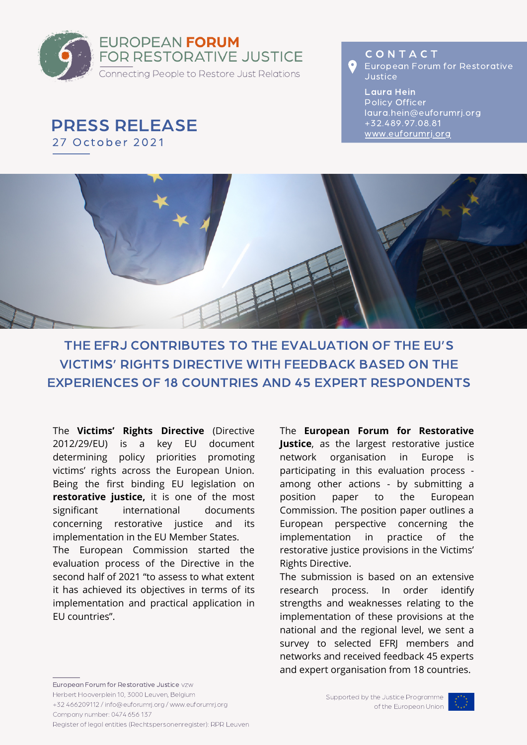

PRESS RELEASE

27 October 2021

**CONTACT** O European Forum for Restorative Justice

Laura Hein Policy Officer laura.hein@euforumrj.org +32.489.97.08.81 [www.euforumrj.org](https://www.euforumrj.org/en)



# THE EFRJ CONTRIBUTES TO THE EVALUATION OF THE EU'S VICTIMS' RIGHTS DIRECTIVE WITH FEEDBACK BASED ON THE EXPERIENCES OF 18 COUNTRIES AND 45 EXPERT RESPONDENTS

The **Victims' Rights Directive** (Directive 2012/29/EU) is a key EU document determining policy priorities promoting victims' rights across the European Union. Being the first binding EU legislation on **restorative justice,** it is one of the most significant international documents concerning restorative justice and its implementation in the EU Member States.

The European Commission started the evaluation process of the Directive in the second half of 2021 "to assess to what extent it has achieved its objectives in terms of its implementation and practical application in EU countries".

[The](https://www.euforumrj.org/en/REstART) **European Forum for [Restorative](https://www.euforumrj.org/en/REstART) Justice**, as the largest restorative justice network organisation in Europe is participating in this evaluation process among other actions - by submitting a position paper to the European Commission. The position paper outlines a European perspective concerning the [implementation](https://www.euforumrj.org/en/REstART) in practice of the restorative justice provisions in the Victims' Rights Directive.

The submission is based on an extensive research process. In order identify strengths and weaknesses relating to the implementation of these provisions at the national and the regional level, we sent a survey to selected EFRJ members and networks and received feedback 45 experts and expert organisation from 18 countries.

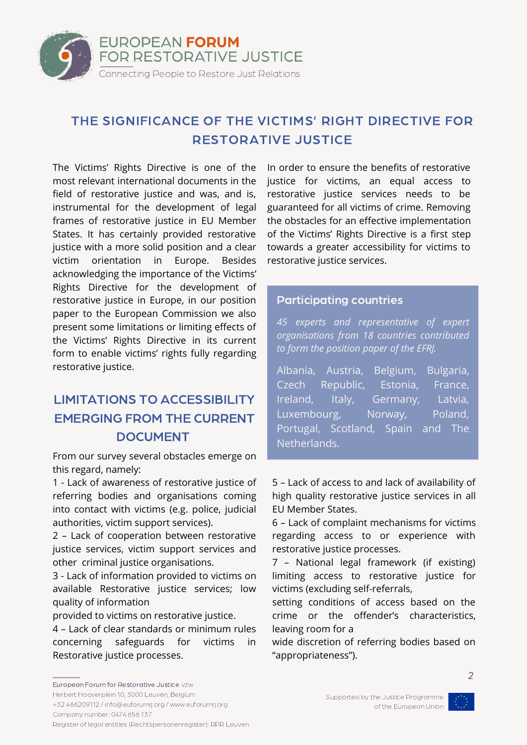

### THE SIGNIFICANCE OF THE VICTIMS' RIGHT DIRECTIVE FOR RESTORATIVE JUSTICE

The Victims' Rights Directive is one of the most relevant international documents in the field of restorative justice and was, and is, instrumental for the development of legal frames of restorative justice in EU Member States. It has certainly provided restorative justice with a more solid position and a clear victim orientation in Europe. Besides acknowledging the importance of the Victims' Rights Directive for the development of restorative justice in Europe, in our position paper to the European Commission we also present some limitations or limiting effects of the Victims' Rights Directive in its current form to enable victims' rights fully regarding restorative justice.

## LIMITATIONS TO ACCESSIBILITY EMERGING FROM THE CURRENT DOCUMENT

From our survey several obstacles emerge on this regard, namely:

1 - Lack of awareness of restorative justice of referring bodies and organisations coming into contact with victims (e.g. police, judicial authorities, victim support services).

2 – Lack of cooperation between restorative justice services, victim support services and other criminal justice organisations.

3 - Lack of information provided to victims on available Restorative justice services; low quality of information

provided to victims on restorative justice.

4 – Lack of clear standards or minimum rules concerning safeguards for victims in Restorative justice processes.

In order to ensure the benefits of restorative justice for victims, an equal access to restorative justice services needs to be guaranteed for all victims of crime. Removing the obstacles for an effective implementation of the Victims' Rights Directive is a first step towards a greater accessibility for victims to restorative justice services.

#### Participating countries

*45 experts and representative of expert organisations from 18 countries contributed to form the position paper of the EFRJ.*

Albania, Austria, Belgium, Bulgaria, Czech Republic, Estonia, France, Ireland, Italy, Germany, Latvia, Luxembourg, Norway, Poland, Portugal, Scotland, Spain and The Netherlands.

5 – Lack of access to and lack of availability of high quality restorative justice services in all EU Member States.

6 – Lack of complaint mechanisms for victims regarding access to or experience with restorative justice processes.

7 – National legal framework (if existing) limiting access to restorative justice for victims (excluding self-referrals,

setting conditions of access based on the crime or the offender's characteristics, leaving room for a

wide discretion of referring bodies based on "appropriateness").



Register of legal entities (Rechtspersonenregister): RPR Leuven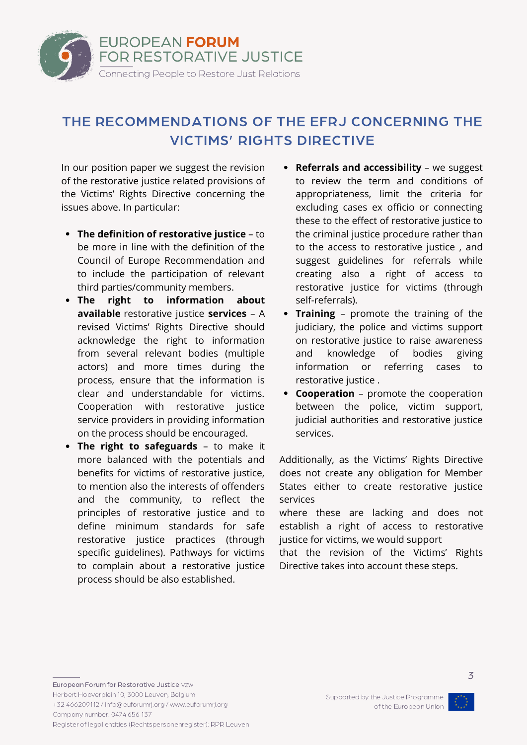

# THE RECOMMENDATIONS OF THE EFRJ CONCERNING THE VICTIMS' RIGHTS DIRECTIVE

In our position paper we suggest the revision of the restorative justice related provisions of the Victims' Rights Directive concerning the issues above. In particular:

- **The definition of restorative justice** to be more in line with the definition of the Council of Europe Recommendation and to include the participation of relevant third parties/community members.
- **The right to information about available** restorative justice **services** – A revised Victims' Rights Directive should acknowledge the right to information from several relevant bodies (multiple actors) and more times during the process, ensure that the information is clear and understandable for victims. Cooperation with restorative justice service providers in providing information on the process should be encouraged.
- **The right to safeguards** to make it more balanced with the potentials and benefits for victims of restorative justice, to mention also the interests of offenders and the community, to reflect the principles of restorative justice and to define minimum standards for safe restorative justice practices (through specific guidelines). Pathways for victims to complain about a restorative justice process should be also established.
- **Referrals and accessibility** we suggest  $\bullet$ to review the term and conditions of appropriateness, limit the criteria for excluding cases ex officio or connecting these to the effect of restorative justice to the criminal justice procedure rather than to the access to restorative justice , and suggest guidelines for referrals while creating also a right of access to restorative justice for victims (through self-referrals).
- **Training** promote the training of the judiciary, the police and victims support on restorative justice to raise awareness and knowledge of bodies giving information or referring cases to restorative justice .
- **Cooperation** promote the cooperation between the police, victim support, judicial authorities and restorative justice services.

Additionally, as the Victims' Rights Directive does not create any obligation for Member States either to create restorative justice services

where these are lacking and does not establish a right of access to restorative justice for victims, we would support

that the revision of the Victims' Rights Directive takes into account these steps.

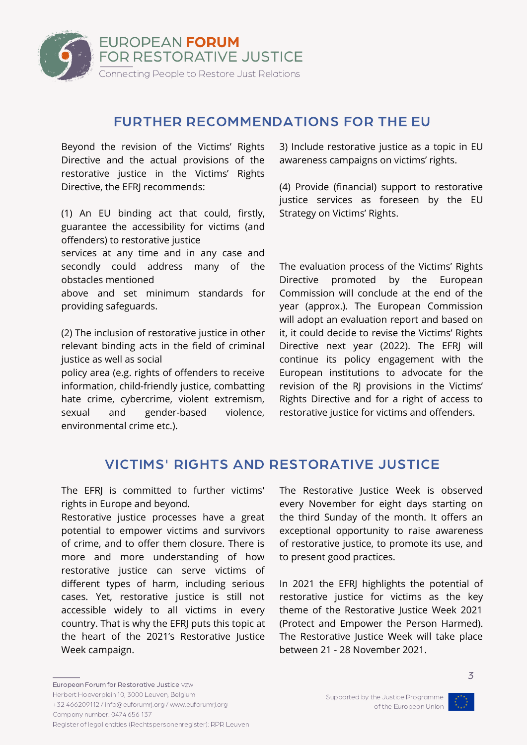

### FURTHER RECOMMENDATIONS FOR THE EU

Beyond the revision of the Victims' Rights Directive and the actual provisions of the restorative justice in the Victims' Rights Directive, the EFRJ recommends:

(1) An EU binding act that could, firstly, guarantee the accessibility for victims (and offenders) to restorative justice

services at any time and in any case and secondly could address many of the obstacles mentioned

above and set minimum standards for providing safeguards.

(2) The inclusion of restorative justice in other relevant binding acts in the field of criminal justice as well as social

policy area (e.g. rights of offenders to receive information, child-friendly justice, combatting hate crime, cybercrime, violent extremism, sexual and gender-based violence, environmental crime etc.).

3) Include restorative justice as a topic in EU awareness campaigns on victims' rights.

(4) Provide (financial) support to restorative justice services as foreseen by the EU Strategy on Victims' Rights.

The evaluation process of the Victims' Rights Directive promoted by the European Commission will conclude at the end of the year (approx.). The European Commission will adopt an evaluation report and based on it, it could decide to revise the Victims' Rights Directive next year (2022). The EFRJ will continue its policy engagement with the European institutions to advocate for the revision of the RJ provisions in the Victims' Rights Directive and for a right of access to restorative justice for victims and offenders.

### VICTIMS' RIGHTS AND RESTORATIVE JUSTICE

The EFRJ is committed to further victims' rights in Europe and beyond.

Restorative justice processes have a great potential to empower victims and survivors of crime, and to offer them closure. There is more and more understanding of how restorative justice can serve victims of different types of harm, including serious cases. Yet, restorative justice is still not accessible widely to all victims in every country. That is why the EFRJ puts this topic at the heart of the 2021's Restorative Justice Week campaign.

The Restorative Justice Week is observed every November for eight days starting on the third Sunday of the month. It offers an exceptional opportunity to raise awareness of restorative justice, to promote its use, and to present good practices.

In 2021 the EFRJ highlights the potential of restorative justice for victims as the key theme of the Restorative Justice Week 2021 (Protect and Empower the Person Harmed). The Restorative Justice Week will take place between 21 - 28 November 2021.



3